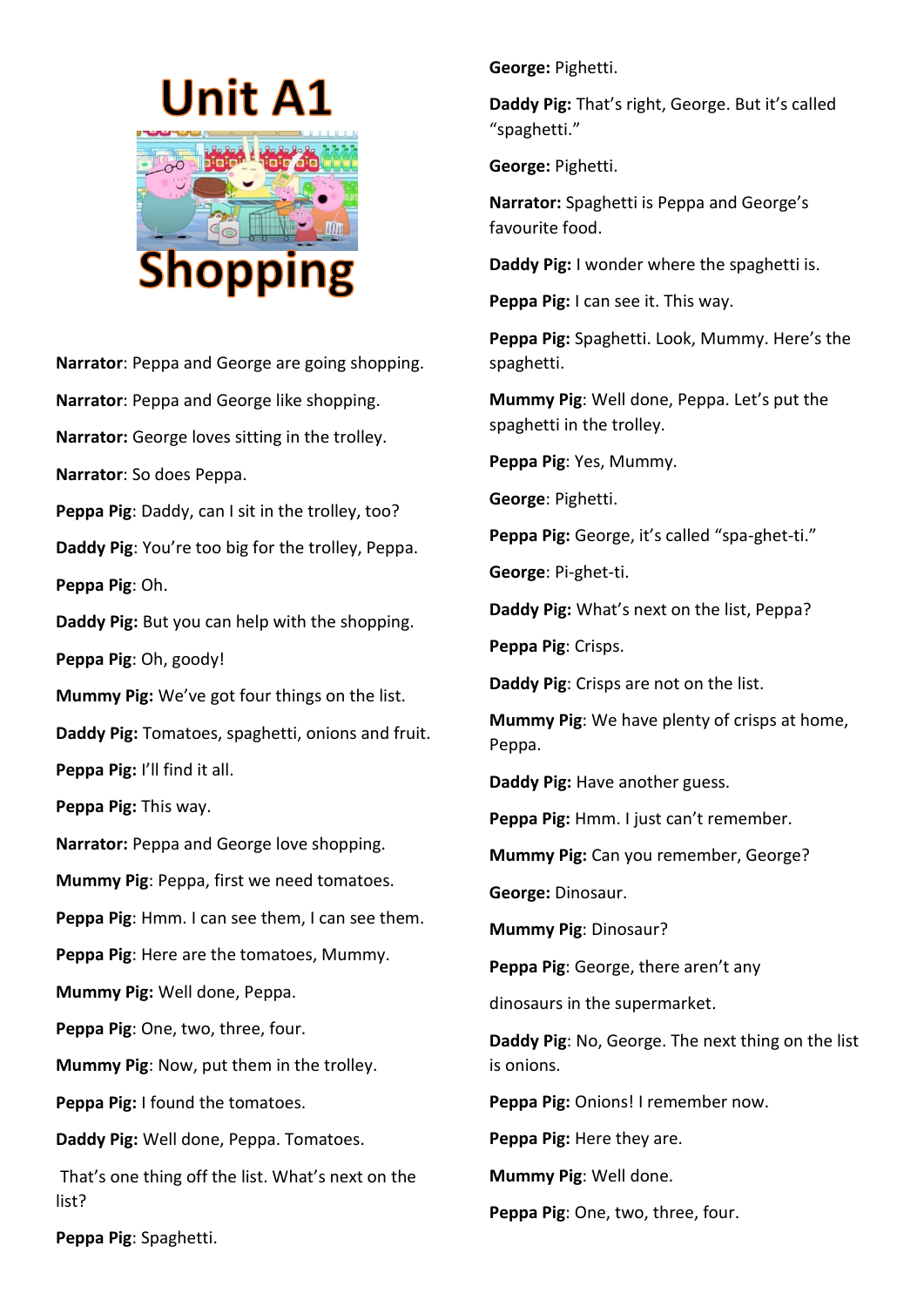

**Narrator**: Peppa and George are going shopping. **Narrator**: Peppa and George like shopping. **Narrator:** George loves sitting in the trolley. **Narrator**: So does Peppa. **Peppa Pig**: Daddy, can I sit in the trolley, too? **Daddy Pig**: You're too big for the trolley, Peppa. **Peppa Pig**: Oh. **Daddy Pig:** But you can help with the shopping. **Peppa Pig**: Oh, goody! **Mummy Pig:** We've got four things on the list. **Daddy Pig:** Tomatoes, spaghetti, onions and fruit. **Peppa Pig:** I'll find it all. **Peppa Pig:** This way. **Narrator:** Peppa and George love shopping. **Mummy Pig**: Peppa, first we need tomatoes. **Peppa Pig**: Hmm. I can see them, I can see them. **Peppa Pig**: Here are the tomatoes, Mummy. **Mummy Pig:** Well done, Peppa. **Peppa Pig**: One, two, three, four. **Mummy Pig**: Now, put them in the trolley. **Peppa Pig:** I found the tomatoes. **Daddy Pig:** Well done, Peppa. Tomatoes. That's one thing off the list. What's next on the list?

**George:** Pighetti.

**Daddy Pig:** That's right, George. But it's called "spaghetti."

**George:** Pighetti.

**Narrator:** Spaghetti is Peppa and George's favourite food.

**Daddy Pig:** I wonder where the spaghetti is.

**Peppa Pig:** I can see it. This way.

**Peppa Pig:** Spaghetti. Look, Mummy. Here's the spaghetti.

**Mummy Pig**: Well done, Peppa. Let's put the spaghetti in the trolley.

**Peppa Pig**: Yes, Mummy.

**George**: Pighetti.

**Peppa Pig:** George, it's called "spa-ghet-ti."

**George**: Pi-ghet-ti.

**Daddy Pig:** What's next on the list, Peppa?

**Peppa Pig**: Crisps.

**Daddy Pig**: Crisps are not on the list.

**Mummy Pig**: We have plenty of crisps at home, Peppa.

**Daddy Pig:** Have another guess.

**Peppa Pig:** Hmm. I just can't remember.

**Mummy Pig:** Can you remember, George?

**George:** Dinosaur.

**Mummy Pig**: Dinosaur?

**Peppa Pig**: George, there aren't any

dinosaurs in the supermarket.

**Daddy Pig**: No, George. The next thing on the list is onions.

**Peppa Pig:** Onions! I remember now.

**Peppa Pig:** Here they are.

**Mummy Pig**: Well done.

**Peppa Pig**: One, two, three, four.

**Peppa Pig**: Spaghetti.